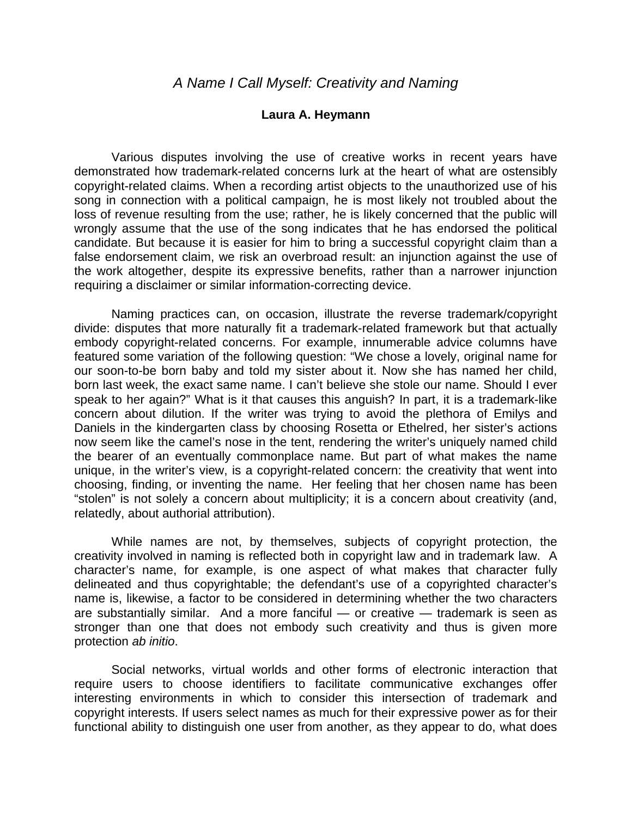## **Laura A. Heymann**

 Various disputes involving the use of creative works in recent years have demonstrated how trademark-related concerns lurk at the heart of what are ostensibly copyright-related claims. When a recording artist objects to the unauthorized use of his song in connection with a political campaign, he is most likely not troubled about the loss of revenue resulting from the use; rather, he is likely concerned that the public will wrongly assume that the use of the song indicates that he has endorsed the political candidate. But because it is easier for him to bring a successful copyright claim than a false endorsement claim, we risk an overbroad result: an injunction against the use of the work altogether, despite its expressive benefits, rather than a narrower injunction requiring a disclaimer or similar information-correcting device.

Naming practices can, on occasion, illustrate the reverse trademark/copyright divide: disputes that more naturally fit a trademark-related framework but that actually embody copyright-related concerns. For example, innumerable advice columns have featured some variation of the following question: "We chose a lovely, original name for our soon-to-be born baby and told my sister about it. Now she has named her child, born last week, the exact same name. I can't believe she stole our name. Should I ever speak to her again?" What is it that causes this anguish? In part, it is a trademark-like concern about dilution. If the writer was trying to avoid the plethora of Emilys and Daniels in the kindergarten class by choosing Rosetta or Ethelred, her sister's actions now seem like the camel's nose in the tent, rendering the writer's uniquely named child the bearer of an eventually commonplace name. But part of what makes the name unique, in the writer's view, is a copyright-related concern: the creativity that went into choosing, finding, or inventing the name. Her feeling that her chosen name has been "stolen" is not solely a concern about multiplicity; it is a concern about creativity (and, relatedly, about authorial attribution).

While names are not, by themselves, subjects of copyright protection, the creativity involved in naming is reflected both in copyright law and in trademark law. A character's name, for example, is one aspect of what makes that character fully delineated and thus copyrightable; the defendant's use of a copyrighted character's name is, likewise, a factor to be considered in determining whether the two characters are substantially similar. And a more fanciful — or creative — trademark is seen as stronger than one that does not embody such creativity and thus is given more protection *ab initio*.

Social networks, virtual worlds and other forms of electronic interaction that require users to choose identifiers to facilitate communicative exchanges offer interesting environments in which to consider this intersection of trademark and copyright interests. If users select names as much for their expressive power as for their functional ability to distinguish one user from another, as they appear to do, what does